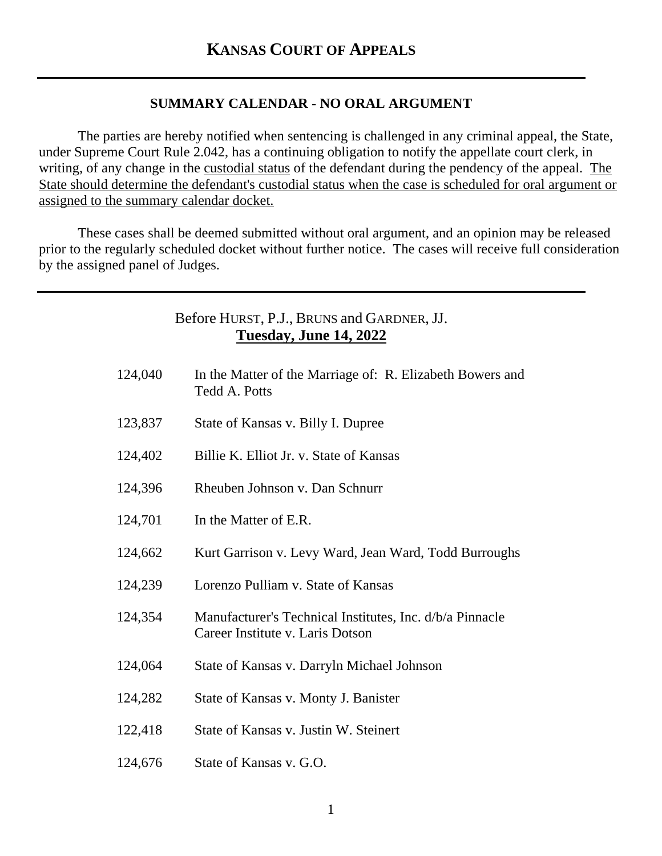## **SUMMARY CALENDAR - NO ORAL ARGUMENT**

The parties are hereby notified when sentencing is challenged in any criminal appeal, the State, under Supreme Court Rule 2.042, has a continuing obligation to notify the appellate court clerk, in writing, of any change in the custodial status of the defendant during the pendency of the appeal. The State should determine the defendant's custodial status when the case is scheduled for oral argument or assigned to the summary calendar docket.

These cases shall be deemed submitted without oral argument, and an opinion may be released prior to the regularly scheduled docket without further notice. The cases will receive full consideration by the assigned panel of Judges.

## Before HURST, P.J., BRUNS and GARDNER, JJ. **Tuesday, June 14, 2022**

| 124,040 | In the Matter of the Marriage of: R. Elizabeth Bowers and<br><b>Tedd A. Potts</b>            |
|---------|----------------------------------------------------------------------------------------------|
| 123,837 | State of Kansas v. Billy I. Dupree                                                           |
| 124,402 | Billie K. Elliot Jr. v. State of Kansas                                                      |
| 124,396 | Rheuben Johnson v. Dan Schnurr                                                               |
| 124,701 | In the Matter of E.R.                                                                        |
| 124,662 | Kurt Garrison v. Levy Ward, Jean Ward, Todd Burroughs                                        |
| 124,239 | Lorenzo Pulliam v. State of Kansas                                                           |
| 124,354 | Manufacturer's Technical Institutes, Inc. d/b/a Pinnacle<br>Career Institute v. Laris Dotson |
| 124,064 | State of Kansas v. Darryln Michael Johnson                                                   |
| 124,282 | State of Kansas v. Monty J. Banister                                                         |
| 122,418 | State of Kansas v. Justin W. Steinert                                                        |
| 124,676 | State of Kansas v. G.O.                                                                      |